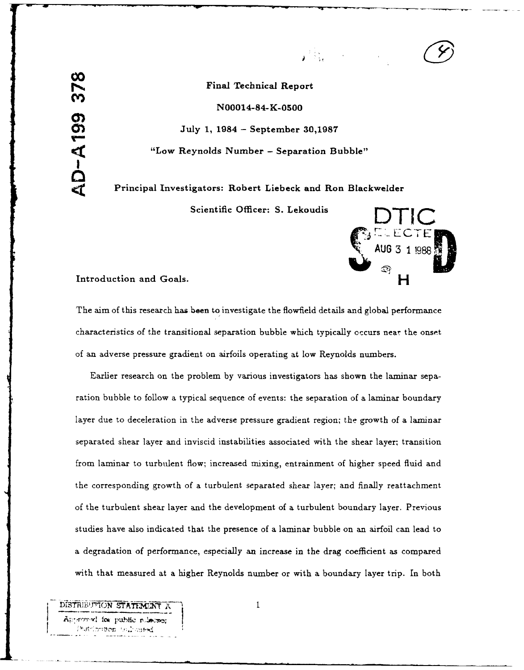**00**<br>Final Technical Report<br> **00**<br>
N99914 84 K ST99

N00014-84-K-0500

July **1,** 1984 **-** September **30,1987**

THUBOIT-04-A-0300<br>
July 1, 1984 – September 30,1987<br>
"Low Reynolds Number – Separation Bubble"<br>
Principal Investigators: Robert Liebeck and Ron Blac. Principal Investigators: Robert Liebeck and Ron Blackwelder

**Scientific Officer: S. Lekoudis** 



Introduction and Goals.

The aim of this research has been to investigate the flowfield details and global performance characteristics of the transitional separation bubble which typically occurs near the onset of an adverse pressure gradient on airfoils operating at low Reynolds numbers.

Earlier research on the problem by various investigators has shown the laminar separation bubble to follow a typical sequence of events: the separation of a laminar boundary layer due to deceleration in the adverse pressure gradient region; the growth of a laminar separated shear layer and inviscid instabilities associated with the shear layer; transition from laminar to turbulent flow; increased mixing, entrainment of higher speed fluid and the corresponding growth of a turbulent separated shear layer; and finally reattachment of the turbulent shear layer and the development of a turbulent boundary layer. Previous studies have also indicated that the presence of a laminar bubble on an airfoil can lead to a degradation of performance, especially an increase in the drag coefficient as compared with that measured at a higher Reynolds number or with a boundary layer trip. In both

DISTRIEUTION STATEMENT X 1 Approved for public relation **hatrion to Live as red**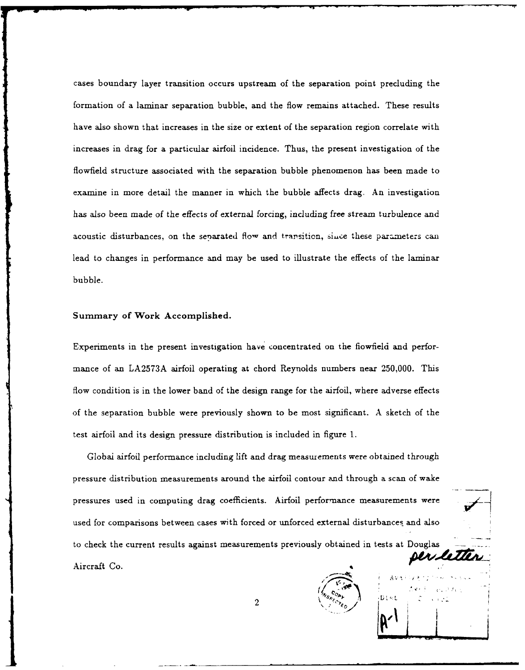cases boundary layer transition occurs upstream of the separation point precluding the formation of a laminar separation bubble, and the flow remains attached. These results have also shown that increases in the size or extent of the separation region correlate with increases in drag for a particular airfoil incidence. Thus, the present investigation of the flowfield structure associated with the separation bubble phenomenon has been made to examine in more detail the manner in which the bubble affects drag. An investigation has also been made of the effects of external forcing, including free stream turbulence and acoustic disturbances, on the senarated flow and transition, siice these parameters **can** lead to changes in performance and may be used to illustrate the effects of the laminar bubble.

## Summary of Work Accomplished.

Experiments in the present investigation have concentrated on the fiowfield and performance of an LA2573A airfoil operating at chord Reynolds numbers near **250,000.** This flow condition is in the lower band of the design range for the airfoil, where adverse effects of the separation bubble were previously shown to be most significant. A sketch of the test airfoil and its design pressure distribution is included in figure **1.**

Global airfoil performance including lift and drag measurements were obtained through pressure distribution measurements around the airfoil contour and through a scan of wake pressures used in computing drag coefficients. Airfoil performance measurements were used for comparisons between cases with forced or unforced external disturbances and also to check the current results against measurements previously obtained in tests at Douglas Der letter Aircraft Co.



 $\overline{2}$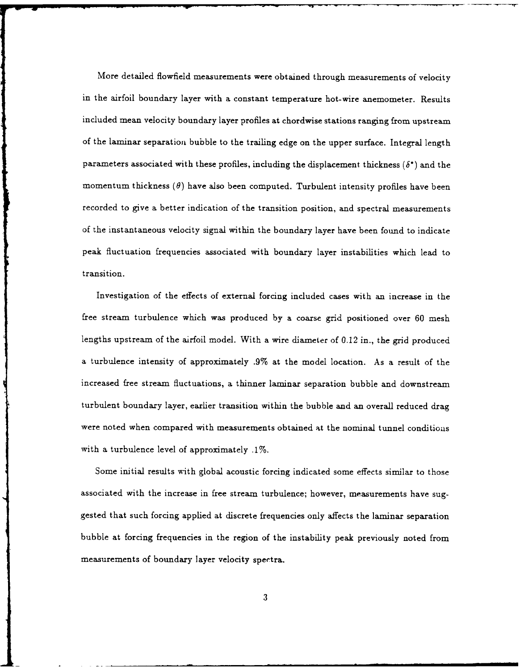More detailed flowfield measurements were obtained through measurements of velocity in the airfoil boundary layer with a constant temperature hot-wire anemometer. Results included mean velocity boundary layer profiles at chordwise stations ranging from upstream of the laminar separation bubble to the trailing edge on the upper surface. Integral length parameters associated with these profiles, including the displacement thickness  $(\delta^*)$  and the momentum thickness  $(\theta)$  have also been computed. Turbulent intensity profiles have been recorded to give a better indication of the transition position, and spectral measurements of the instantaneous velocity signal within the boundary layer have been found to indicate peak fluctuation frequencies associated with boundary layer instabilities which lead to transition.

Investigation of the effects of external forcing included cases with an increase in the free stream turbulence which was produced by a coarse grid positioned over **60** mesh lengths upstream of the airfoil model. With a wire diameter of 0.12 in., the grid produced a turbulence intensity of approximately .9% at the model location. As a result of the increased free stream fluctuations, a thinner laminar separation bubble and downstream turbulent boundary layer, earlier transition within the bubble and an overall reduced drag were noted when compared with measurements obtained at the nominal tunnel conditions with a turbulence level of approximately .1%.

Some initial results with global acoustic forcing indicated some effects similar to those associated with the increase in free stream turbulence; however, measurements have suggested that such forcing applied at discrete frequencies only affects the laminar separation bubble at forcing frequencies in the region of the instability peak previously noted from measurements of boundary layer velocity spectra.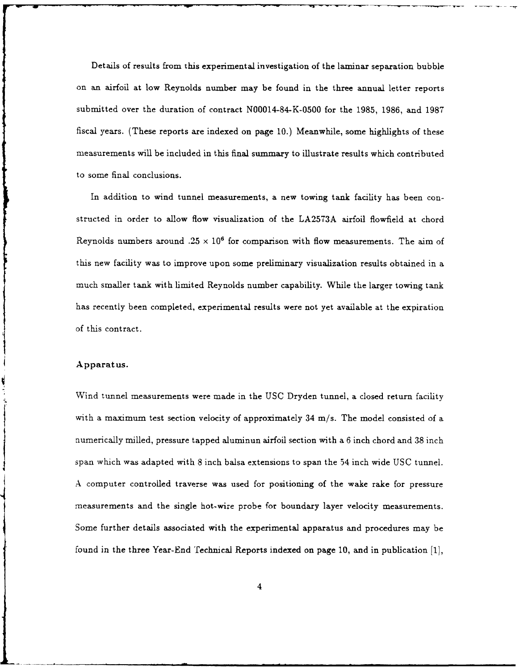Details of results from this experimental investigation of the laminar separation bubble on an airfoil at low Reynolds number may be found in the three annual letter reports submitted over the duration of contract N00014-84-K-0500 for the **1985, 1986, and 1987** fiscal years. (These reports are indexed on page **10.)** Meanwhile, some highlights of these measurements will be included in this final summary to illustrate results which contributed to some final conclusions.

In addition to wind tunnel measurements, a new towing tank facility has been constructed in order to allow flow visualization of the LA2573A airfoil flowfield at chord Reynolds numbers around  $.25 \times 10^6$  for comparison with flow measurements. The aim of this new facility was to improve upon some preliminary visualization results obtained in a much smaller tank with limited Reynolds number capability. While the larger towing tank has recently been completed, experimental results were not yet available at the expiration of this contract.

#### Apparatus.

Wind tunnel measurements were made in the USC Dryden tunnel, a closed return facility with a maximum test section velocity of approximately 34 m/s. The model consisted of a numerically milled, pressure tapped aluminun airfoil section with a 6 inch chord and **38** inch span which was adapted with 8 inch balsa extensions to span the 54 inch wide **USC** tunnel. A computer controlled traverse was used for positioning of the wake rake for pressure measurements and the single hot-wire probe for boundary layer velocity measurements. Some further details associated with the experimental apparatus and procedures may be found in the three Year-End Technical Reports indexed on page 10, and in publication [1),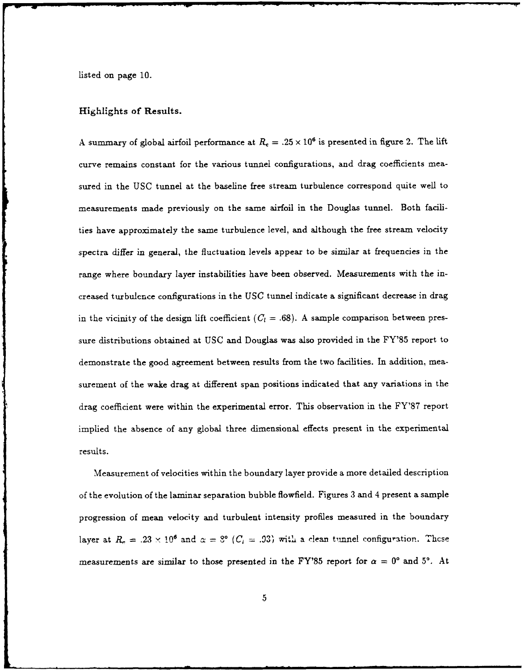Listed on page **10.**

### Highlights of Results.

A summary of global airfoil performance at  $R_c = .25 \times 10^6$  is presented in figure 2. The lift curve remains constant for the various tunnel configurations, and drag coefficients measured in the USC tunnel at the baseline free stream turbulence correspond quite well to measurements made previously on the same airfoil in the Douglas tunnel. Both facilities have approximately the same turbulence level, and although the free stream velocity spectra differ in general, the fluctuation levels appear to be similar at frequencies in the range where boundary layer instabilities have been observed. Measurements with the increased turbulence configurations in the USC tunnel indicate a significant decrease in drag in the vicinity of the design lift coefficient  $(C_l = .68)$ . A sample comparison between pressure distributions obtained at USC and Douglas was also provided in the FY'85 report to demonstrate the good agreement between results from the two facilities. In addition, measurement of the wake drag at different span positions indicated that any variations in the drag coefficient were within the experimental error. This observation in the **FY'87** report implied the absence of any global three dimensional effects present in the experimental results.

Measurement of velocities within the boundary layer provide a more detailed description of the evolution of the laminar separation bubble flowfield. Figures **3** and 4 present a sample progression of mean velocity and turbulent intensity profiles measured in the boundary layer at  $R_e = .23 \times 10^6$  and  $\alpha = .8^{\circ}$  ( $C_l = .93$ ) with a clean tunnel configuration. These measurements are similar to those presented in the FY'85 report for  $\alpha = 0^{\circ}$  and 5°. At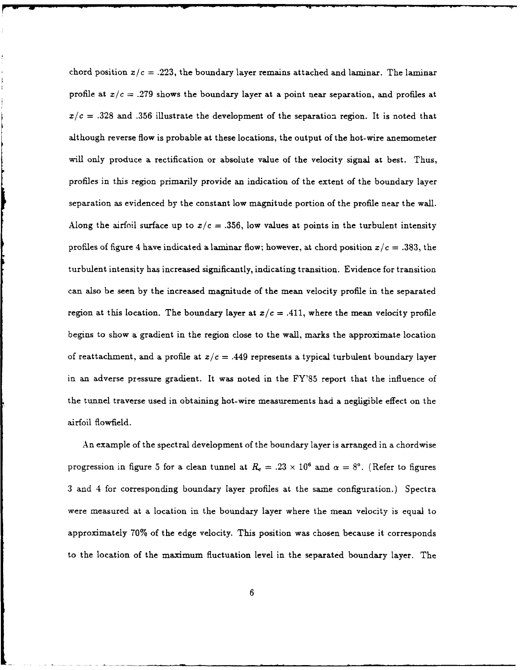chord position  $x/c = .223$ , the boundary layer remains attached and laminar. The laminar profile at  $x/c = .279$  shows the boundary layer at a point near separation, and profiles at  $x/c = .328$  and .356 illustrate the development of the separation region. It is noted that although reverse flow is probable at these locations, the output of the hot-wire anemometer will only produce a rectification or absolute value of the velocity signal at best. Thus, profiles in this region primarily provide an indication of the extent of the boundary layer separation as evidenced by the constant low magnitude portion of the profile near the wall. Along the airfoil surface up to  $x/c = .356$ , low values at points in the turbulent intensity profiles of figure 4 have indicated a laminar flow; however, at chord position  $x/c = .383$ , the turbulent intensity has increased significantly, indicating transition. Evidence for transition can also be seen by the increased magnitude of the mean velocity profile in the separated region at this location. The boundary layer at  $x/c = .411$ , where the mean velocity profile begins to show a gradient in the region close to the wall, marks the approximate location of reattachment, and a profile at  $x/c = .449$  represents a typical turbulent boundary layer in an adverse pressure gradient. It was noted in the FY'85 report that the influence of the tunnel traverse used in obtaining hot-wire measurements had a negligible effect on the airfoil flowfield.

An example of the spectral development of the boundary layer is arranged in a chordwise progression in figure 5 for a clean tunnel at  $R_c = .23 \times 10^6$  and  $\alpha = 8^{\circ}$ . (Refer to figures 3 and 4 for corresponding boundary layer profiles at the same configuration.) Spectra were measured at a location in the boundary layer where the mean velocity is equal to approximately 70% of the edge velocity. This position was chosen because it corresponds to the location of the maximum fluctuation level in the separated boundary layer. The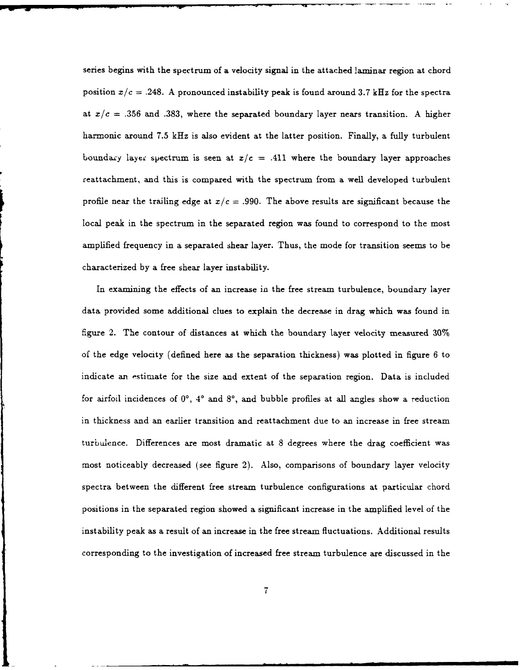series begins with the spectrum of a velocity signal in the attached laminar region at chord position  $x/c = .248$ . A pronounced instability peak is found around 3.7 kHz for the spectra at  $x/c = .356$  and .383, where the separated boundary layer nears transition. A higher harmonic around 7.5 kHz is also evident at the latter position. Finally, a fully turbulent boundary layer spectrum is seen at  $x/c = .411$  where the boundary layer approaches reattachment, and this is compared with the spectrum from a well developed turbulent profile near the trailing edge at  $x/c = .990$ . The above results are significant because the local peak in the spectrum in the separated region was found to correspond to the most amplified frequency in a separated shear layer. Thus, the mode for transition seems to be characterized **by** a free shear layer instability.

In examining the effects of an increase in the free stream turbulence, boundary layer data provided some additional clues to explain the decrease in drag which was found in figure 2. The contour of distances at which the boundary layer velocity measured 30% of the edge velocity (defined here as the separation thickness) was plotted in figure 6 to indicate an estimate for the size and extent of the separation region. Data is included for airfoil incidences of 00, **40** and **8',** and bubble profiles at all angles show a reduction in thickness and an earlier transition and reattachment due to an increase in free stream turbulence. Differences are most dramatic at 8 degrees where the drag coefficient was most noticeably decreased (see figure 2). Also, comparisons of boundary layer velocity spectra between the different free stream turbulence configurations at particular chord positions in the separated region showed a significant increase in the amplified level of the instability peak as a result of an increase in the free stream fluctuations. Additional results corresponding to the investigation of increased free stream turbulence are discussed in the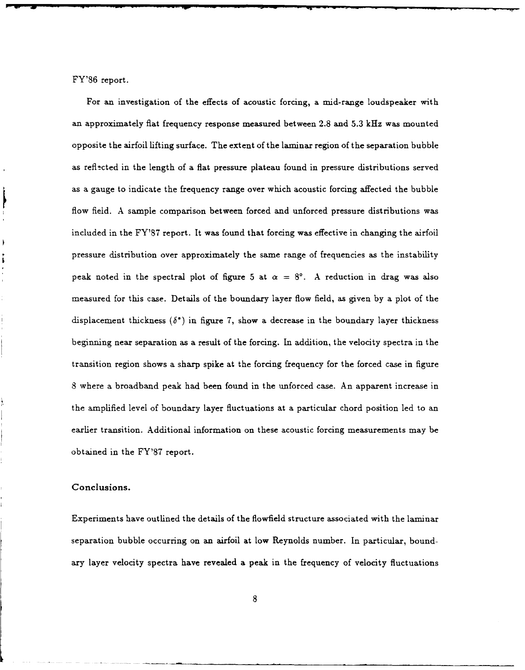FY'86 report.

For an investigation of the effects of acoustic forcing, a mid-range loudspeaker with an approximately flat frequency response measured between 2.8 and **5.3** kHz was mounted opposite the airfoil lifting surface. The extent of the laminar region of the separation bubble as reflected in the length of a flat pressure plateau found in pressure distributions served as a gauge to indicate the frequency range over which acoustic forcing affected the bubble flow field. **A** sample comparison between forced and unforced pressure distributions was included in the FY'87 report. It was found that forcing was effective in changing the airfoil pressure distribution over approximately the same range of frequencies as the instability peak noted in the spectral plot of figure 5 at  $\alpha = 8^{\circ}$ . A reduction in drag was also measured for this case. Details of the boundary layer flow field, as given by a plot of the displacement thickness  $(\delta^*)$  in figure 7, show a decrease in the boundary layer thickness beginning near separation as a result of the forcing. In addition, the velocity spectra in the transition region shows a sharp spike at the forcing frequency for the forced case in figure 8 where a broadband peak had been found in the unforced case. An apparent increase in the amplified level of boundary layer fluctuations at a particular chord position led to an earlier transition. Additional information on these acoustic forcing measurements may be obtained in the FY'87 report.

### Conclusions.

Experiments have outlined the details of the flowfield structure associated with the laminar separation bubble occurring on an airfoil at low Reynolds number. In particular, boundary layer velocity spectra have revealed a peak in the frequency of velocity fluctuations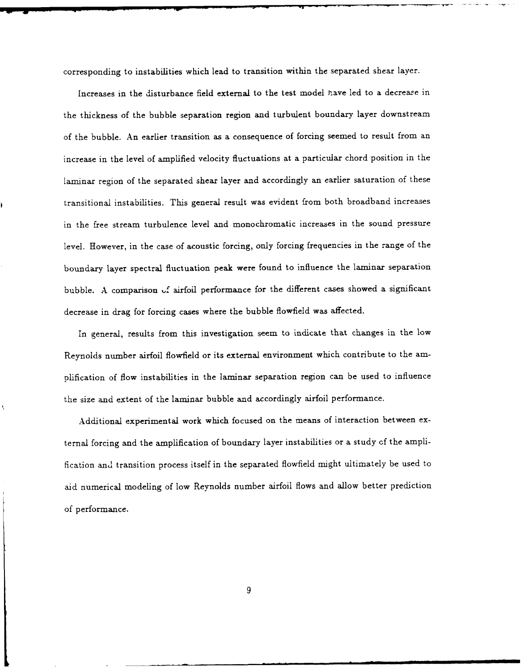corresponding to instabilities which lead to transition within the separated shear layer.

Increases in the disturbance field external to the test model have led to a decreare in the thickness of the bubble separation region and turbulent boundary layer downstream of the bubble. An earlier transition as a consequence of forcing seemed to result from an increase in the level of amplified velocity fluctuations at a particular chord position in the laminar region of the separated shear layer and accordingly an earlier saturation of these transitional instabilities. This general result was evident from both broadband increases in the free stream turbulence level and monochromatic increases in the sound pressure level. However, in the case of acoustic forcing, only forcing frequencies in the range of the boundary layer spectral fluctuation peak were found to influence the laminar separation bubble. A comparison **uf** airfoil performance for the different cases showed a significant decrease in drag for forcing cases where the bubble flowfield was affected.

In general, results from this investigation seem to indicate that changes in the low Reynolds number airfoil flowfield or its external environment which contribute to the amplification of flow instabilities in the laminar separation region can be used to influence the size and extent of the laminar bubble and accordingly airfoil performance.

Additional experimental work which focused on the means of interaction between external forcing and the amplification of boundary layer instabilities or a study of the amplification and transition process itself in the separated flowfield might ultimately be used to aid numerical modeling of low Reynolds number airfoil flows and allow better prediction of performance.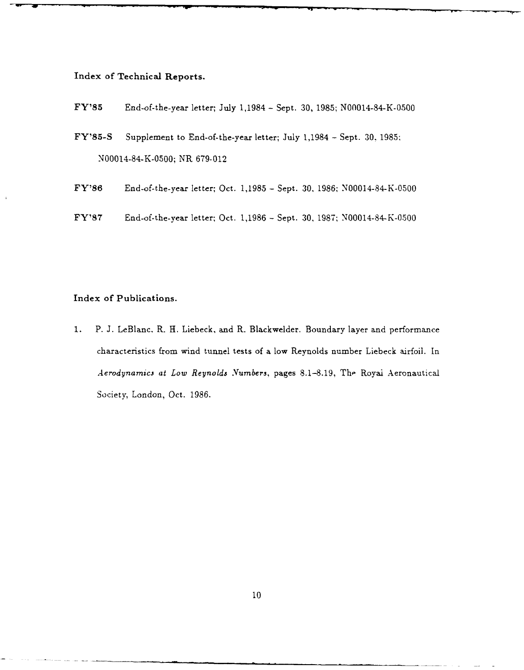## **Index of Technical Reports.**

- **FY'85** End-of-the-year letter; July 1,1984 **-** Sept. 30, 1985; N00014-84-K-0500
- FY'85-S Supplement to End-of-the-year letter; July 1,1984 Sept. **30,** 1985; N00014-84-K-0500; NR 679-012
- **FY'86** End-of-the-year letter; Oct. 1,1985 **-** Sept. 30, 1986; N00014-84-K-0500
- FY'87 End-of-the-year letter; Oct. 1,1986 **-** Sept. *30,* 1987; N00014-84-K-0500

# Index of Publications.

**1.** P. **J.** LeBlanc, R. H. Liebeck, and R. Blackwelder. Boundary layer and performance characteristics from wind tunnel tests of a low Reynolds number Liebeck airfoil. In *Aerodynamics at Low Reynolds Numbers, pages 8.1-8.19, The Royai Aeronautical* Society, London, Oct. 1986.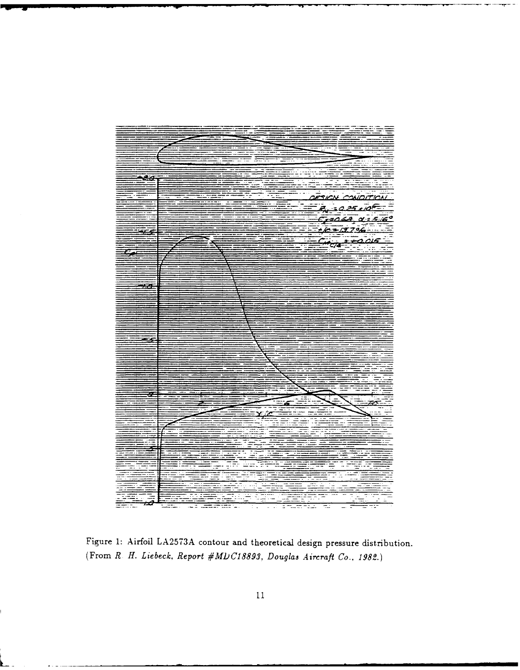

Figure **1:** Airfoil **LA2573A** contour and theoretical design pressure distribution. (From *R H. Liebeck, Report #M1C188931 Douglas Aircraft Co., 1982.)*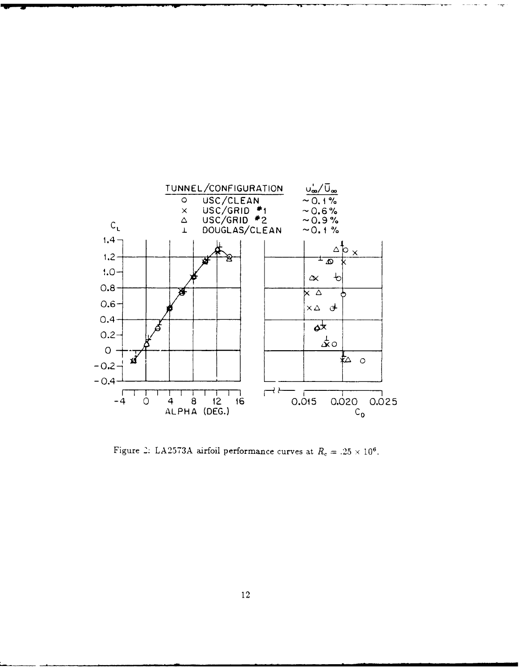

Figure 2. LA2573A airfoil performance curves at  $R_c = .25 \times 10^6$ .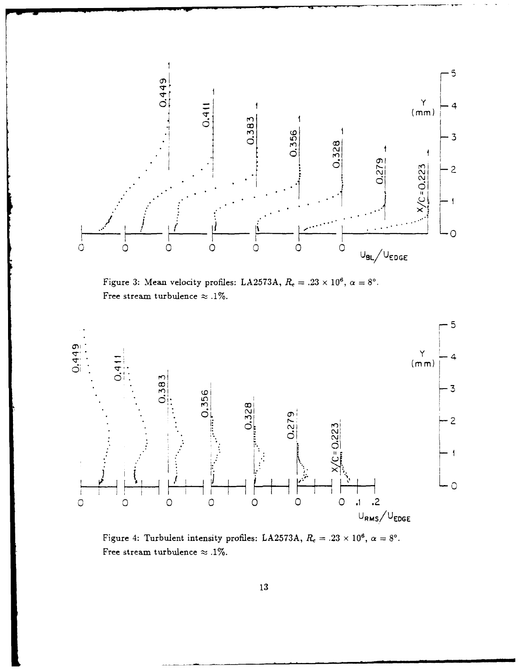

velocity promes: LA2513A,  $R_c = .23 \times 10^7$ ,<br>bulence  $\approx .1\%$ . Figure <sup>3</sup>: Mean velocity profiles: LA2573A,  $R = 23 \times 10^6$ ,  $\alpha = 8^{\circ}$ . Free stream turbulence  $\approx .1\%$ .



Figure 4: Turbulent intensity profiles: LA2573A,  $R_c = .23 \times 10^6$ ,  $\alpha = 8^\circ$ . Free stream turbulence  $\approx .1\%$ .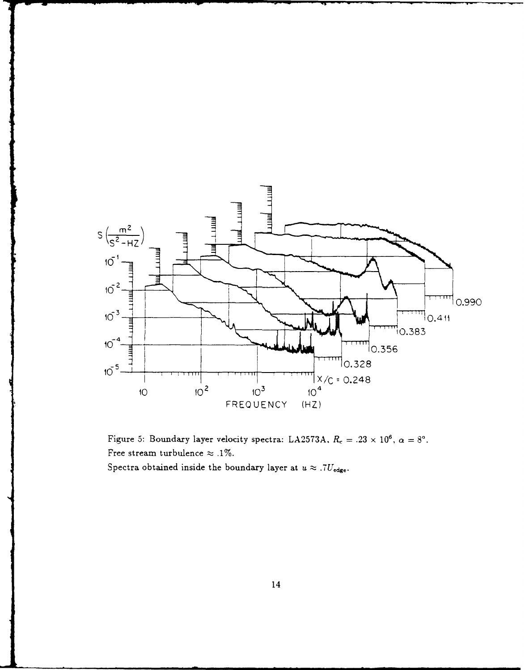



Spectra obtained inside the boundary layer at  $u \approx .7U_{\text{edge}}$ .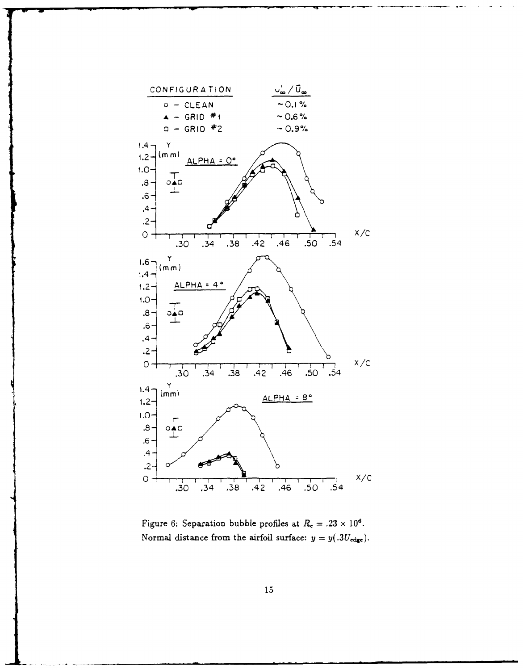

Figure 6: Separation bubble profiles at  $R_c = .23 \times 10^6$ . Normal distance from the airfoil surface:  $y = y(.3U_{\text{edge}})$ .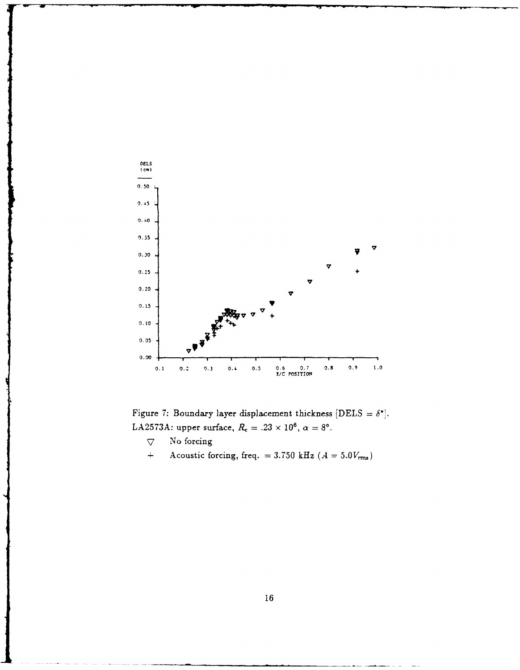

Figure 7: Boundary layer displacement thickness  $[DELS = \delta^*].$ LA2573A: upper surface,  $R_e = .23 \times 10^6$ ,  $\alpha = 8^\circ$ .

- **7** No forcing
- $\ddot{+}$ Acoustic forcing, freq.  $= 3.750$  kHz  $(A = 5.0V_{rms})$